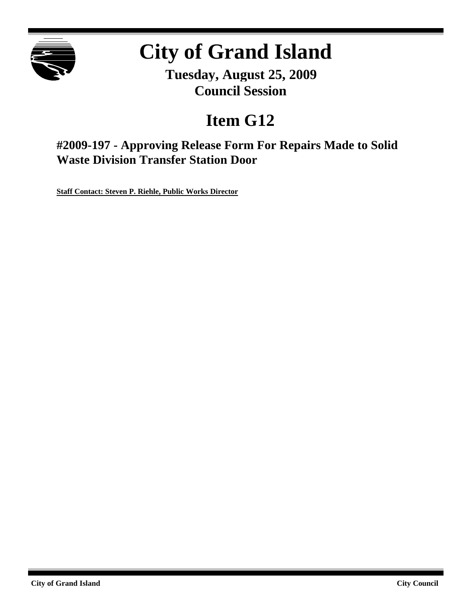

# **City of Grand Island**

**Tuesday, August 25, 2009 Council Session**

# **Item G12**

**#2009-197 - Approving Release Form For Repairs Made to Solid Waste Division Transfer Station Door**

**Staff Contact: Steven P. Riehle, Public Works Director**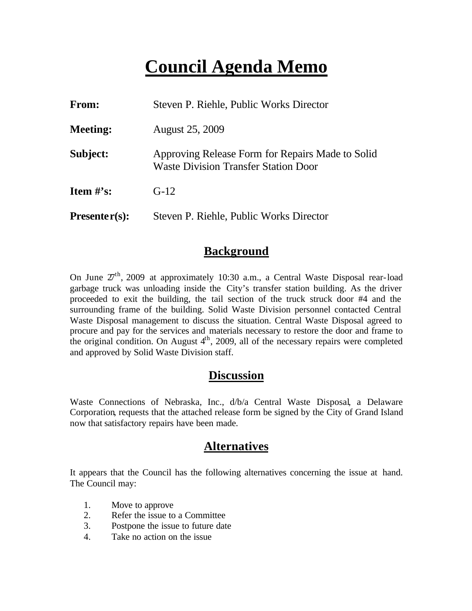## **Council Agenda Memo**

| From:           | Steven P. Riehle, Public Works Director                                                         |
|-----------------|-------------------------------------------------------------------------------------------------|
| <b>Meeting:</b> | <b>August 25, 2009</b>                                                                          |
| Subject:        | Approving Release Form for Repairs Made to Solid<br><b>Waste Division Transfer Station Door</b> |
| Item $\#$ 's:   | $G-12$                                                                                          |
| $Presenter(s):$ | Steven P. Riehle, Public Works Director                                                         |

#### **Background**

On June  $27<sup>th</sup>$ , 2009 at approximately 10:30 a.m., a Central Waste Disposal rear-load garbage truck was unloading inside the City's transfer station building. As the driver proceeded to exit the building, the tail section of the truck struck door #4 and the surrounding frame of the building. Solid Waste Division personnel contacted Central Waste Disposal management to discuss the situation. Central Waste Disposal agreed to procure and pay for the services and materials necessary to restore the door and frame to the original condition. On August  $4<sup>th</sup>$ , 2009, all of the necessary repairs were completed and approved by Solid Waste Division staff.

#### **Discussion**

Waste Connections of Nebraska, Inc., d/b/a Central Waste Disposal, a Delaware Corporation, requests that the attached release form be signed by the City of Grand Island now that satisfactory repairs have been made.

#### **Alternatives**

It appears that the Council has the following alternatives concerning the issue at hand. The Council may:

- 1. Move to approve
- 2. Refer the issue to a Committee
- 3. Postpone the issue to future date
- 4. Take no action on the issue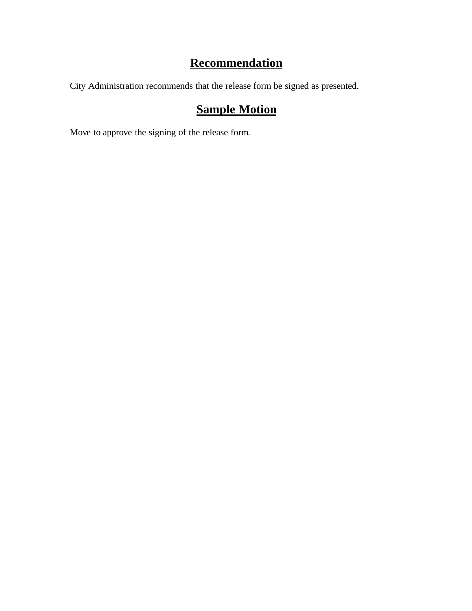### **Recommendation**

City Administration recommends that the release form be signed as presented.

### **Sample Motion**

Move to approve the signing of the release form.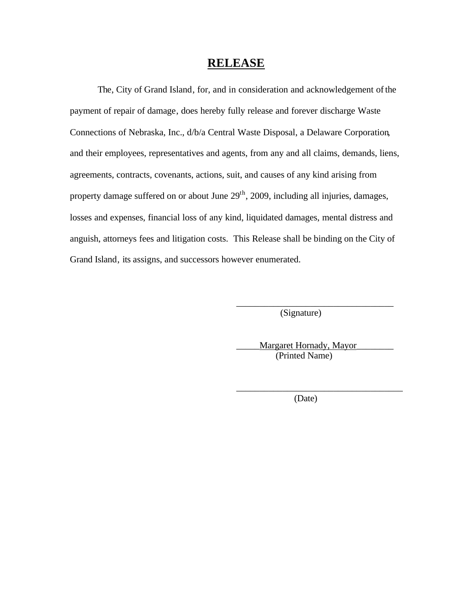#### **RELEASE**

The, City of Grand Island, for, and in consideration and acknowledgement of the payment of repair of damage, does hereby fully release and forever discharge Waste Connections of Nebraska, Inc., d/b/a Central Waste Disposal, a Delaware Corporation, and their employees, representatives and agents, from any and all claims, demands, liens, agreements, contracts, covenants, actions, suit, and causes of any kind arising from property damage suffered on or about June 29<sup>th</sup>, 2009, including all injuries, damages, losses and expenses, financial loss of any kind, liquidated damages, mental distress and anguish, attorneys fees and litigation costs. This Release shall be binding on the City of Grand Island, its assigns, and successors however enumerated.

(Signature)

\_\_\_\_\_Margaret Hornady, Mayor\_\_\_\_\_\_\_\_ (Printed Name)

\_\_\_\_\_\_\_\_\_\_\_\_\_\_\_\_\_\_\_\_\_\_\_\_\_\_\_\_\_\_\_\_\_\_\_\_

\_\_\_\_\_\_\_\_\_\_\_\_\_\_\_\_\_\_\_\_\_\_\_\_\_\_\_\_\_\_\_\_\_\_

(Date)